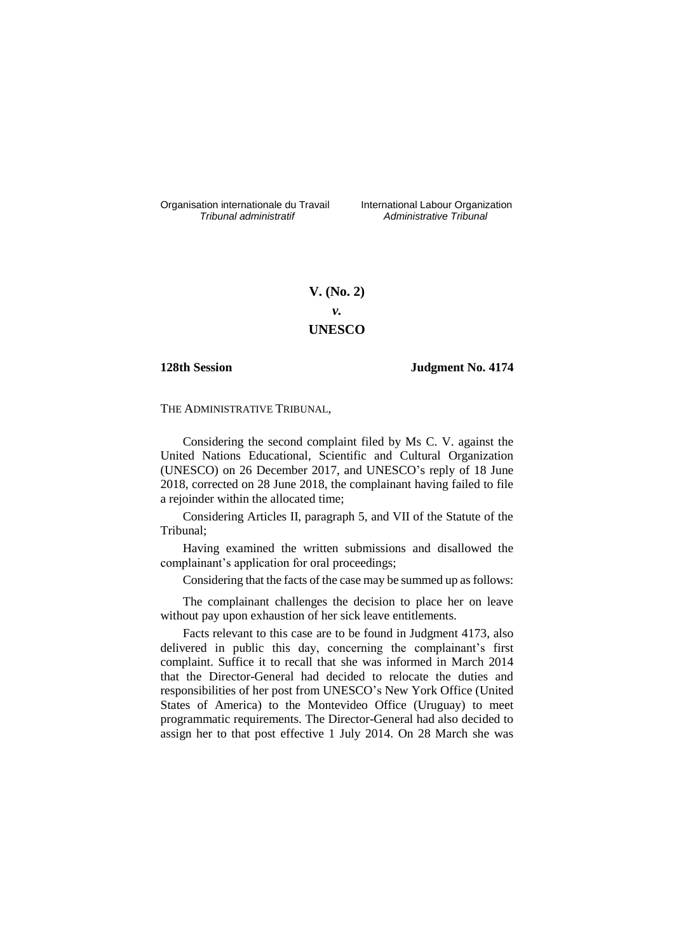Organisation internationale du Travail liternational Labour Organization<br> *Tribunal administratif Administrative Tribunal* 

*Tribunal administratif Administrative Tribunal*

# **V. (No. 2)** *v.* **UNESCO**

# **128th Session Judgment No. 4174**

THE ADMINISTRATIVE TRIBUNAL,

Considering the second complaint filed by Ms C. V. against the United Nations Educational, Scientific and Cultural Organization (UNESCO) on 26 December 2017, and UNESCO's reply of 18 June 2018, corrected on 28 June 2018, the complainant having failed to file a rejoinder within the allocated time;

Considering Articles II, paragraph 5, and VII of the Statute of the Tribunal;

Having examined the written submissions and disallowed the complainant's application for oral proceedings;

Considering that the facts of the case may be summed up as follows:

The complainant challenges the decision to place her on leave without pay upon exhaustion of her sick leave entitlements.

Facts relevant to this case are to be found in Judgment 4173, also delivered in public this day, concerning the complainant's first complaint. Suffice it to recall that she was informed in March 2014 that the Director-General had decided to relocate the duties and responsibilities of her post from UNESCO's New York Office (United States of America) to the Montevideo Office (Uruguay) to meet programmatic requirements. The Director-General had also decided to assign her to that post effective 1 July 2014. On 28 March she was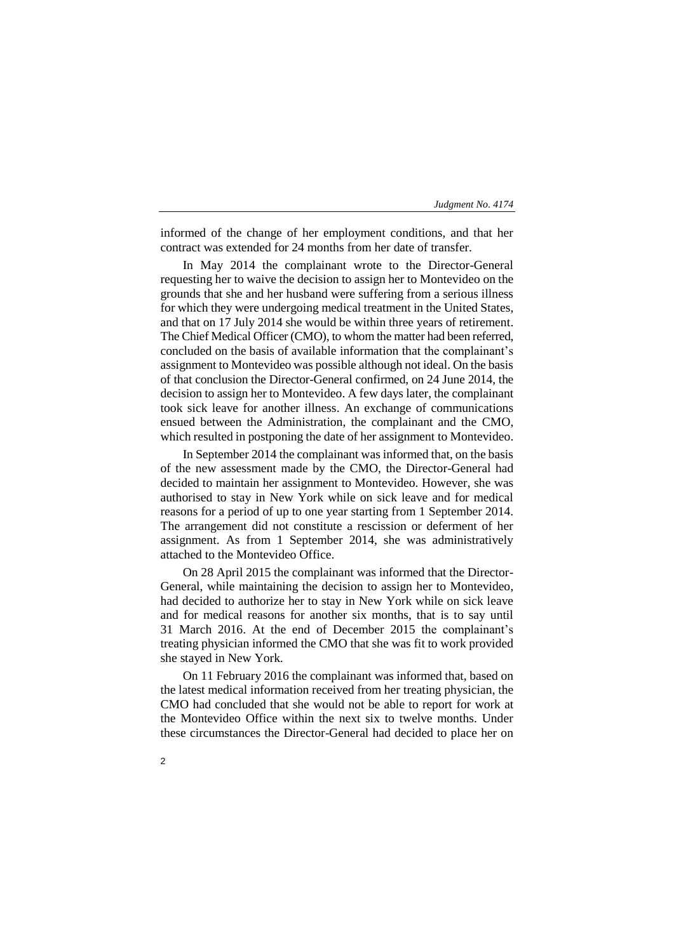informed of the change of her employment conditions, and that her contract was extended for 24 months from her date of transfer.

In May 2014 the complainant wrote to the Director-General requesting her to waive the decision to assign her to Montevideo on the grounds that she and her husband were suffering from a serious illness for which they were undergoing medical treatment in the United States, and that on 17 July 2014 she would be within three years of retirement. The Chief Medical Officer (CMO), to whom the matter had been referred, concluded on the basis of available information that the complainant's assignment to Montevideo was possible although not ideal. On the basis of that conclusion the Director-General confirmed, on 24 June 2014, the decision to assign her to Montevideo. A few days later, the complainant took sick leave for another illness. An exchange of communications ensued between the Administration, the complainant and the CMO, which resulted in postponing the date of her assignment to Montevideo.

In September 2014 the complainant was informed that, on the basis of the new assessment made by the CMO, the Director-General had decided to maintain her assignment to Montevideo. However, she was authorised to stay in New York while on sick leave and for medical reasons for a period of up to one year starting from 1 September 2014. The arrangement did not constitute a rescission or deferment of her assignment. As from 1 September 2014, she was administratively attached to the Montevideo Office.

On 28 April 2015 the complainant was informed that the Director-General, while maintaining the decision to assign her to Montevideo, had decided to authorize her to stay in New York while on sick leave and for medical reasons for another six months, that is to say until 31 March 2016. At the end of December 2015 the complainant's treating physician informed the CMO that she was fit to work provided she stayed in New York.

On 11 February 2016 the complainant was informed that, based on the latest medical information received from her treating physician, the CMO had concluded that she would not be able to report for work at the Montevideo Office within the next six to twelve months. Under these circumstances the Director-General had decided to place her on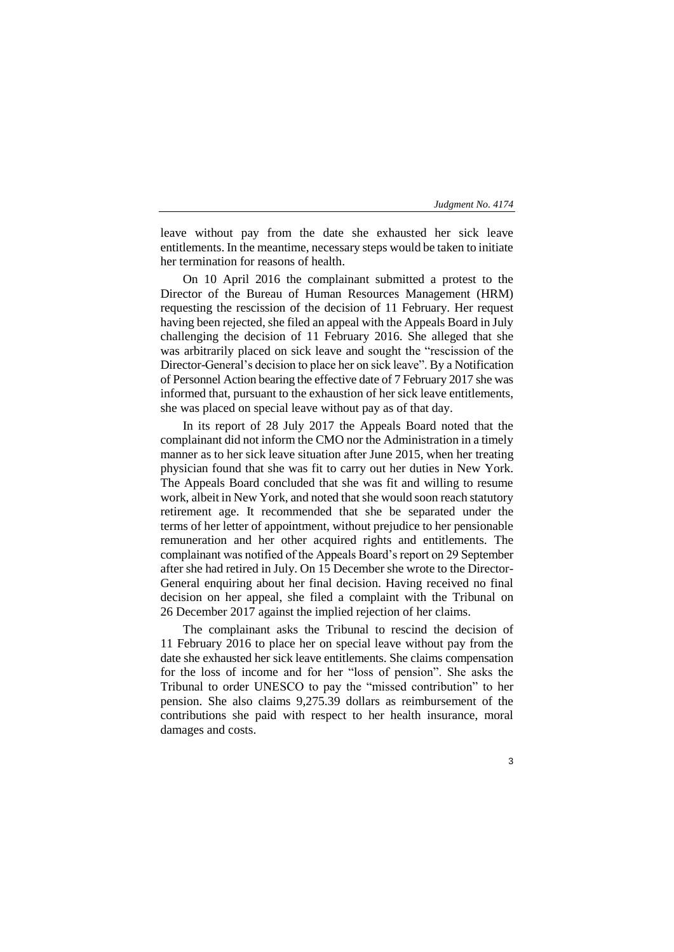leave without pay from the date she exhausted her sick leave entitlements. In the meantime, necessary steps would be taken to initiate her termination for reasons of health.

On 10 April 2016 the complainant submitted a protest to the Director of the Bureau of Human Resources Management (HRM) requesting the rescission of the decision of 11 February. Her request having been rejected, she filed an appeal with the Appeals Board in July challenging the decision of 11 February 2016. She alleged that she was arbitrarily placed on sick leave and sought the "rescission of the Director-General's decision to place her on sick leave". By a Notification of Personnel Action bearing the effective date of 7 February 2017 she was informed that, pursuant to the exhaustion of her sick leave entitlements, she was placed on special leave without pay as of that day.

In its report of 28 July 2017 the Appeals Board noted that the complainant did not inform the CMO nor the Administration in a timely manner as to her sick leave situation after June 2015, when her treating physician found that she was fit to carry out her duties in New York. The Appeals Board concluded that she was fit and willing to resume work, albeit in New York, and noted that she would soon reach statutory retirement age. It recommended that she be separated under the terms of her letter of appointment, without prejudice to her pensionable remuneration and her other acquired rights and entitlements. The complainant was notified of the Appeals Board's report on 29 September after she had retired in July. On 15 December she wrote to the Director-General enquiring about her final decision. Having received no final decision on her appeal, she filed a complaint with the Tribunal on 26 December 2017 against the implied rejection of her claims.

The complainant asks the Tribunal to rescind the decision of 11 February 2016 to place her on special leave without pay from the date she exhausted her sick leave entitlements. She claims compensation for the loss of income and for her "loss of pension". She asks the Tribunal to order UNESCO to pay the "missed contribution" to her pension. She also claims 9,275.39 dollars as reimbursement of the contributions she paid with respect to her health insurance, moral damages and costs.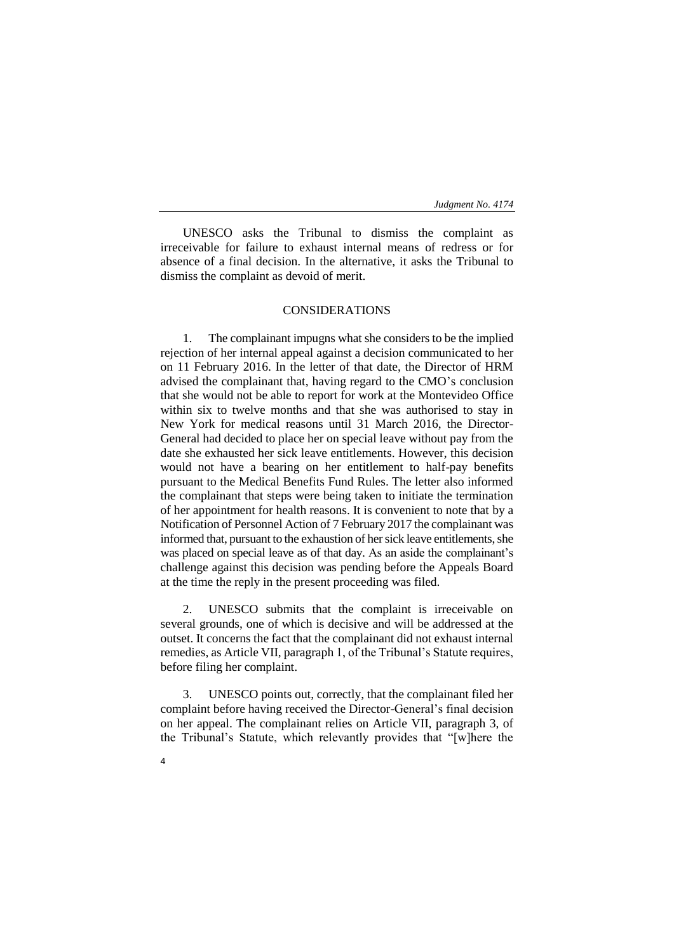UNESCO asks the Tribunal to dismiss the complaint as irreceivable for failure to exhaust internal means of redress or for absence of a final decision. In the alternative, it asks the Tribunal to dismiss the complaint as devoid of merit.

## CONSIDERATIONS

1. The complainant impugns what she considers to be the implied rejection of her internal appeal against a decision communicated to her on 11 February 2016. In the letter of that date, the Director of HRM advised the complainant that, having regard to the CMO's conclusion that she would not be able to report for work at the Montevideo Office within six to twelve months and that she was authorised to stay in New York for medical reasons until 31 March 2016, the Director-General had decided to place her on special leave without pay from the date she exhausted her sick leave entitlements. However, this decision would not have a bearing on her entitlement to half-pay benefits pursuant to the Medical Benefits Fund Rules. The letter also informed the complainant that steps were being taken to initiate the termination of her appointment for health reasons. It is convenient to note that by a Notification of Personnel Action of 7 February 2017 the complainant was informed that, pursuant to the exhaustion of her sick leave entitlements, she was placed on special leave as of that day. As an aside the complainant's challenge against this decision was pending before the Appeals Board at the time the reply in the present proceeding was filed.

2. UNESCO submits that the complaint is irreceivable on several grounds, one of which is decisive and will be addressed at the outset. It concerns the fact that the complainant did not exhaust internal remedies, as Article VII, paragraph 1, of the Tribunal's Statute requires, before filing her complaint.

3. UNESCO points out, correctly, that the complainant filed her complaint before having received the Director-General's final decision on her appeal. The complainant relies on Article VII, paragraph 3, of the Tribunal's Statute, which relevantly provides that "[w]here the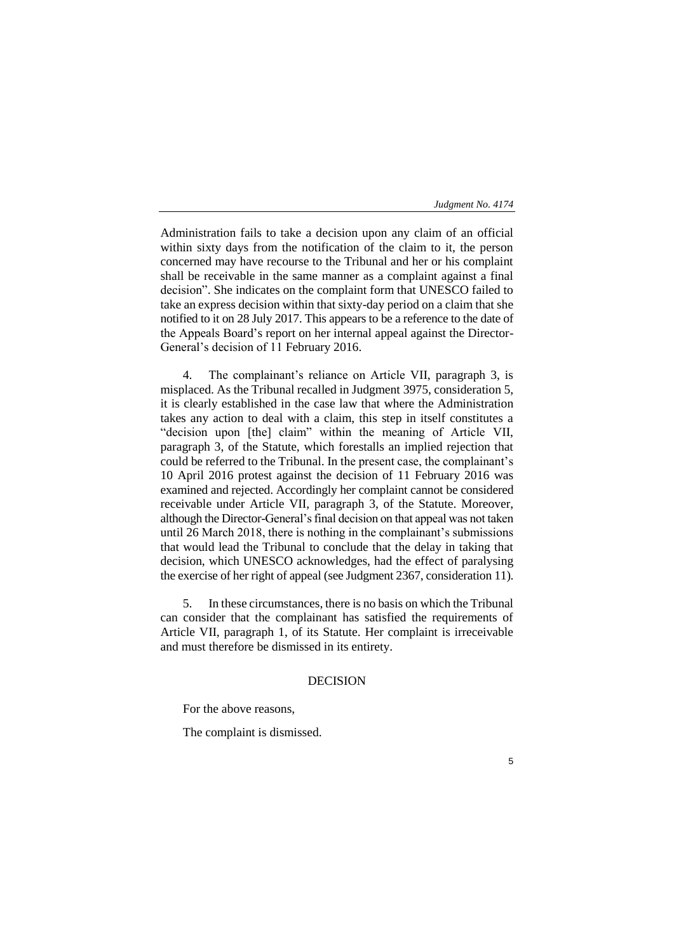5

Administration fails to take a decision upon any claim of an official within sixty days from the notification of the claim to it, the person concerned may have recourse to the Tribunal and her or his complaint shall be receivable in the same manner as a complaint against a final decision". She indicates on the complaint form that UNESCO failed to take an express decision within that sixty-day period on a claim that she notified to it on 28 July 2017. This appears to be a reference to the date of the Appeals Board's report on her internal appeal against the Director-General's decision of 11 February 2016.

4. The complainant's reliance on Article VII, paragraph 3, is misplaced. As the Tribunal recalled in Judgment 3975, consideration 5, it is clearly established in the case law that where the Administration takes any action to deal with a claim, this step in itself constitutes a "decision upon [the] claim" within the meaning of Article VII, paragraph 3, of the Statute, which forestalls an implied rejection that could be referred to the Tribunal. In the present case, the complainant's 10 April 2016 protest against the decision of 11 February 2016 was examined and rejected. Accordingly her complaint cannot be considered receivable under Article VII, paragraph 3, of the Statute. Moreover, although the Director-General's final decision on that appeal was not taken until 26 March 2018, there is nothing in the complainant's submissions that would lead the Tribunal to conclude that the delay in taking that decision, which UNESCO acknowledges, had the effect of paralysing the exercise of her right of appeal (see Judgment 2367, consideration 11).

5. In these circumstances, there is no basis on which the Tribunal can consider that the complainant has satisfied the requirements of Article VII, paragraph 1, of its Statute. Her complaint is irreceivable and must therefore be dismissed in its entirety.

# DECISION

For the above reasons,

The complaint is dismissed.